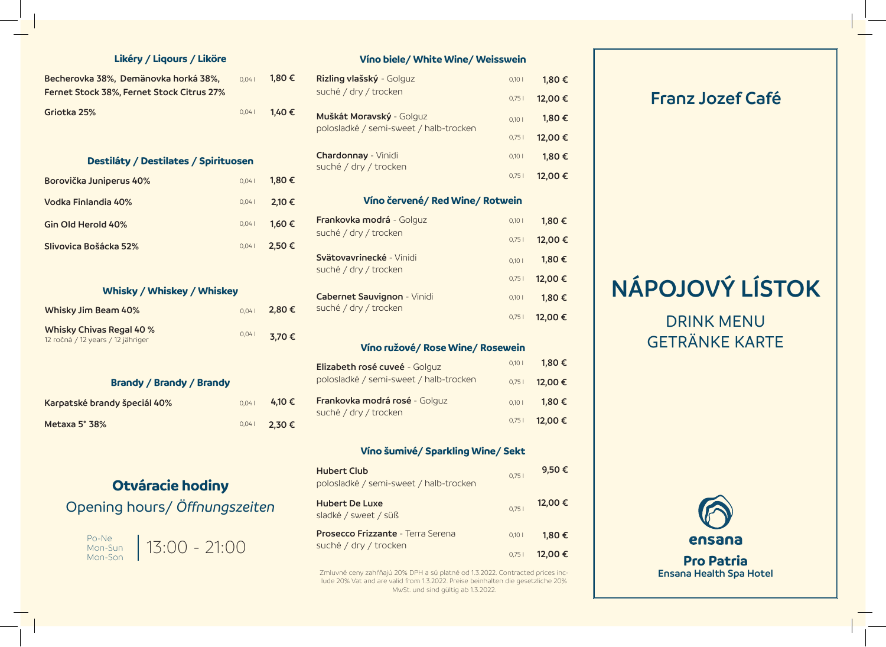### **Likéry / Liqours / Liköre**

| Becherovka 38%, Demänovka horká 38%,      | 0.041 | 1.80 € |
|-------------------------------------------|-------|--------|
| Fernet Stock 38%, Fernet Stock Citrus 27% |       |        |
| Griotka 25%                               | 0.041 | 1,40 € |

#### **Destiláty / Destilates / Spirituosen**

| Borovička Juniperus 40% | 0.041 | 1.80€  |
|-------------------------|-------|--------|
| Vodka Finlandia 40%     | 0,041 | 2,10 € |
| Gin Old Herold 40%      | 0,041 | 1.60€  |
| Slivovica Bošácka 52%   | 0.041 | 2.50€  |

## **Whisky / Whiskey / Whiskey**

| Whisky Jim Beam 40%                                           | 0.041 | 2,80€ |
|---------------------------------------------------------------|-------|-------|
| Whisky Chivas Regal 40 %<br>12 ročná / 12 years / 12 jähriger | 0.041 | 3,70€ |

## **Brandy / Brandy / Brandy**

| Karpatské brandy špeciál 40% | 0.041 | 4,10 € |
|------------------------------|-------|--------|
| Metaxa 5* 38%                | 0,041 | 2,30€  |

# **Otváracie hodiny**

# Opening hours/ *Öffnungszeiten*



| Víno biele/ White Wine/ Weisswein                 |       |        |  |
|---------------------------------------------------|-------|--------|--|
| Rizling vlašský - Golguz                          | 0,101 | 1,80€  |  |
| suché / dry / trocken                             | 0,751 | 12,00€ |  |
| Muškát Moravský - Golguz                          | 0,101 | 1,80€  |  |
| polosladké / semi-sweet / halb-trocken            | 0,751 | 12,00€ |  |
| <b>Chardonnay - Vinidi</b>                        | 0,101 | 1,80€  |  |
| suché / dry / trocken                             | 0,751 | 12,00€ |  |
| Víno červené/ Red Wine/ Rotwein                   |       |        |  |
| Frankovka modrá - Golguz                          | 0,101 | 1,80€  |  |
| suché / dry / trocken                             | 0,751 | 12,00€ |  |
| Svätovavrinecké - Vinidi<br>suché / dry / trocken | 0,101 | 1,80€  |  |
|                                                   | 0,751 | 12,00€ |  |
| Cabernet Sauvignon - Vinidi                       | 0,101 | 1,80€  |  |
| suché / dry / trocken                             | 0,751 | 12,00€ |  |
|                                                   |       |        |  |
| Víno ružové/ Rose Wine/ Rosewein                  |       |        |  |
| Elizabeth rosé cuveé - Golguz                     | 0,101 | 1,80 € |  |

#### polosladké / semi-sweet / halb-trocken 0,75 l **12,00 € Frankovka modrá rosé** - Golguz suché / dry / trocken 0,10 l **1,80 €** 0,75 l **12,00 €**

## **Víno šumivé/ Sparkling Wine/ Sekt**

| <b>Hubert Club</b><br>polosladké / semi-sweet / halb-trocken | 0.751 | 9,50€   |
|--------------------------------------------------------------|-------|---------|
| <b>Hubert De Luxe</b><br>sladké / sweet / süß                | 0.751 | 12,00 € |
| <b>Prosecco Frizzante - Terra Serena</b>                     | 0.101 | 1.80€   |
| suché / dry / trocken                                        | 0,751 | 12,00€  |

Zmluvné ceny zahŕňajú 20% DPH a sú platné od 1.3.2022. Contracted prices include 20% Vat and are valid from 1.3.2022. Preise beinhalten die gesetzliche 20% MwSt. und sind gültig ab 1.3.2022.

# **Franz Jozef Café**

# **NÁPOJOVÝ LÍSTOK**

# DRINK MENU GETRÄNKE KARTE



**Ensana Health Spa Hotel**